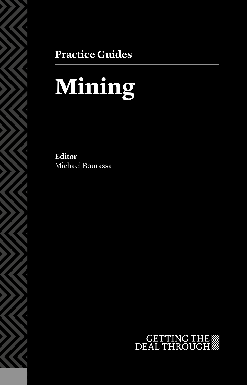### **Practice Guides**

# **Mining**

**Editor** Michael Bourassa

## GETTING THE WE DEAL THROUGH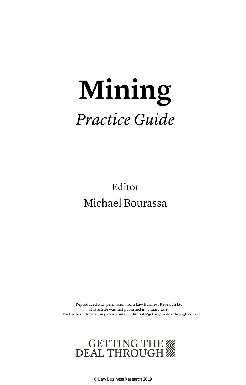## **Mining** *Practice Guide*

Editor Michael Bourassa

Reproduced with permission from Law Business Research Ltd This article was first published in January 2019 For further information please contact editorial@gettingthedealthrough.com



© Law Business Research 2019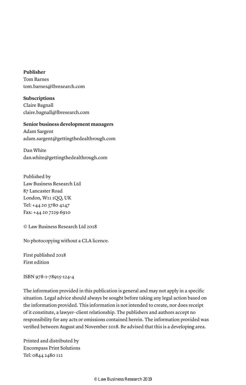**Publisher** Tom Barnes tom.barnes@lbresearch.com

**Subscriptions** Claire Bagnall claire.bagnall@lbresearch.com

#### **Senior business development managers**

Adam Sargent adam.sargent@gettingthedealthrough.com

Dan White dan.white@gettingthedealthrough.com

Published by Law Business Research Ltd 87 Lancaster Road London, W11 1QQ, UK Tel: +44 20 3780 4147 Fax: +44 20 7229 6910

© Law Business Research Ltd 2018

No photocopying without a CLA licence.

First published 2018 First edition

ISBN 978-1-78915-124-4

The information provided in this publication is general and may not apply in a specific situation. Legal advice should always be sought before taking any legal action based on the information provided. This information is not intended to create, nor does receipt of it constitute, a lawyer–client relationship. The publishers and authors accept no responsibility for any acts or omissions contained herein. The information provided was verified between August and November 2018. Be advised that this is a developing area.

Printed and distributed by Encompass Print Solutions Tel: 0844 2480 112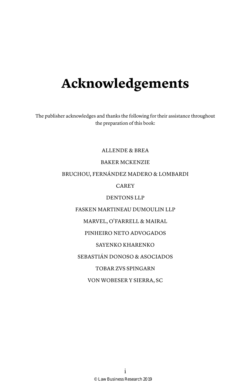## **Acknowledgements**

The publisher acknowledges and thanks the following for their assistance throughout the preparation of this book:

ALLENDE & BREA

#### BAKER MCKENZIE

#### BRUCHOU, FERNÁNDEZ MADERO & LOMBARDI

CAREY

#### DENTONS LLP

#### FASKEN MARTINEAU DUMOULIN LLP

#### MARVEL, O'FARRELL & MAIRAL

#### PINHEIRO NETO ADVOGADOS

#### SAYENKO KHARENKO

#### SEBASTIÁN DONOSO & ASOCIADOS

#### TOBAR ZVS SPINGARN

#### VON WOBESER Y SIERRA, SC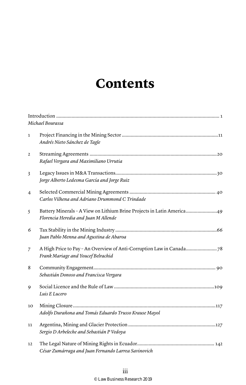### **Contents**

|                | Michael Bourassa                                                                                               |
|----------------|----------------------------------------------------------------------------------------------------------------|
| $\mathbf{1}$   | Andrés Nieto Sánchez de Tagle                                                                                  |
| $\overline{2}$ | Rafael Vergara and Maximiliano Urrutia                                                                         |
| 3              | Jorge Alberto Ledesma García and Jorge Ruiz                                                                    |
| $\overline{4}$ | Carlos Vilhena and Adriano Drummond C Trindade                                                                 |
| 5              | Battery Minerals - A View on Lithium Brine Projects in Latin America49<br>Florencia Heredia and Juan M Allende |
| 6              | Juan Pablo Menna and Agustina de Abaroa                                                                        |
| 7              | Frank Mariage and Youcef Belrachid                                                                             |
| 8              | Sebastián Donoso and Francisca Vergara                                                                         |
| 9              | Luis E Lucero                                                                                                  |
| 10             | Adolfo Durañona and Tomás Eduardo Trusso Krause Mayol                                                          |
| 11             | Sergio D Arbeleche and Sebastián P Vedoya                                                                      |
| 12             | César Zumárraga and Juan Fernando Larrea Savinovich                                                            |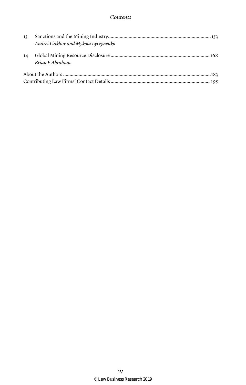| 13 | Andrei Liakhov and Mykola Lytvynenko |  |
|----|--------------------------------------|--|
| 14 | Brian E Abraham                      |  |
|    |                                      |  |
|    |                                      |  |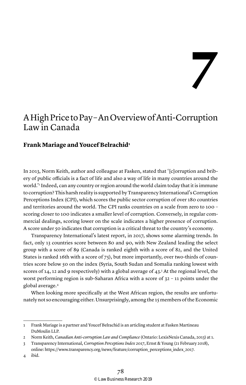**7**

#### A High Price to Pay – An Overview of Anti-Corruption Law in Canada

#### **Frank Mariage and Youcef Belrachid1**

In 2013, Norm Keith, author and colleague at Fasken, stated that '[c]orruption and bribery of public officials is a fact of life and also a way of life in many countries around the world.'2 Indeed, can any country or region around the world claim today that it is immune to corruption? This harsh reality is supported by Transparency International's Corruption Perceptions Index (CPI), which scores the public sector corruption of over 180 countries and territories around the world. The CPI ranks countries on a scale from zero to 100 – scoring closer to 100 indicates a smaller level of corruption. Conversely, in regular commercial dealings, scoring lower on the scale indicates a higher presence of corruption. A score under 50 indicates that corruption is a critical threat to the country's economy.

Transparency International's latest report, in 2017, shows some alarming trends. In fact, only 13 countries score between 80 and 90, with New Zealand leading the select group with a score of 89 (Canada is ranked eighth with a score of 82, and the United States is ranked 16th with a score of 75), but more importantly, over two-thirds of countries score below 50 on the index (Syria, South Sudan and Somalia ranking lowest with scores of 14, 12 and 9 respectively) with a global average of 43.<sup>3</sup> At the regional level, the worst performing region is sub-Saharan Africa with a score of 32 – 11 points under the global average.4

When looking more specifically at the West African region, the results are unfortunately not so encouraging either. Unsurprisingly, among the 15 members of the Economic

<sup>1</sup> Frank Mariage is a partner and Youcef Belrachid is an articling student at Fasken Martineau DuMoulin LLP.

<sup>2</sup> Norm Keith, *Canadian Anti-corruption Law and Compliance* (Ontario: LexisNexis Canada, 2013) at 1.

<sup>3</sup> Transparency International, *Corruption Perceptions Index 2017*, Ernst & Young (21 February 2018), online: https://www.transparency.org/news/feature/corruption\_perceptions\_index\_2017.

<sup>4</sup> ibid.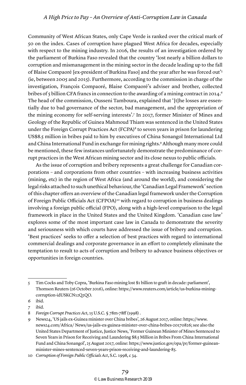Community of West African States, only Cape Verde is ranked over the critical mark of 50 on the index. Cases of corruption have plagued West Africa for decades, especially with respect to the mining industry. In 2016, the results of an investigation ordered by the parliament of Burkina Faso revealed that the country 'lost nearly a billion dollars to corruption and mismanagement in the mining sector in the decade leading up to the fall of Blaise Compaoré [ex-president of Burkina Faso] and the year after he was forced out'5 (ie, between 2005 and 2015). Furthermore, according to the commission in charge of the investigation, François Compaoré, Blaise Compaoré's adviser and brother, collected bribes of 5 billion CFA francs in connection to the awarding of a mining contract in 2014.<sup>6</sup> The head of the commission, Ousseni Tamboura, explained that '[t]he losses are essentially due to bad governance of the sector, bad management, and the appropriation of the mining economy for self-serving interests'.<sup>7</sup> In 2017, former Minister of Mines and Geology of the Republic of Guinea Mahmoud Thiam was sentenced in the United States under the Foreign Corrupt Practices Act (FCPA)<sup>8</sup> to seven years in prison for laundering US\$8.5 million in bribes paid to him by executives of China Sonangol International Ltd and China International Fund in exchange for mining rights.9 Although many more could be mentioned, these few instances unfortunately demonstrate the predominance of corrupt practices in the West African mining sector and its close nexus to public officials.

As the issue of corruption and bribery represents a great challenge for Canadian corporations – and corporations from other countries – with increasing business activities (mining, etc) in the region of West Africa (and around the world), and considering the legal risks attached to such unethical behaviour, the 'Canadian Legal Framework' section of this chapter offers an overview of the Canadian legal framework under the Corruption of Foreign Public Officials Act (CFPOA)<sup>10</sup> with regard to corruption in business dealings involving a foreign public official (FPO), along with a high-level comparison to the legal framework in place in the United States and the United Kingdom. 'Canadian case law' explores some of the most important case law in Canada to demonstrate the severity and seriousness with which courts have addressed the issue of bribery and corruption. 'Best practices' seeks to offer a selection of best practices with regard to international commercial dealings and corporate governance in an effort to completely eliminate the temptation to result to acts of corruption and bribery to advance business objectives or opportunities in foreign countries.

<sup>5</sup> Tim Cocks and Toby Copra, 'Burkina Faso mining lost \$1 billion to graft in decade: parliament', Thomson Reuters (26 October 2016), online: https://www.reuters.com/article/us-burkina-miningcorruption-idUSKCN12Q2QO.

<sup>6</sup> ibid.

ibid.

<sup>8</sup> *Foreign Corrupt Practices Act*, 15 U.S.C. § 78m-78ff (1998) .

<sup>9</sup> News24, 'US jails ex-Guinea minister over China bribes', 26 August 2017, online: https://www. news24.com/Africa/ News/us-jails-ex-guinea-minister-over-china-bribes-20170826; see also the United States Department of Justice, Justice News, 'Former Guinean Minister of Mines Sentenced to Seven Years in Prison for Receiving and Laundering \$8.5 Million in Bribes From China International Fund and China Sonangol', 25 August 2017, online: https://www.justice.gov/opa/pr/former-guineanminister-mines-sentenced-seven-years-prison-receiving-and-laundering-85.

<sup>10</sup> *Corruption of Foreign Public Officials Act*, S.C. 1998, c 34.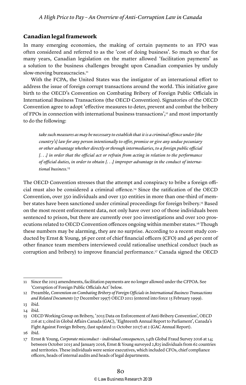#### **Canadian legal framework**

In many emerging economies, the making of certain payments to an FPO was often considered and referred to as the 'cost of doing business'. So much so that for many years, Canadian legislation on the matter allowed 'facilitation payments' as a solution to the business challenges brought upon Canadian companies by unduly slow-moving bureaucracies.<sup>11</sup>

With the FCPA, the United States was the instigator of an international effort to address the issue of foreign corrupt transactions around the world. This initiative gave birth to the OECD's Convention on Combating Bribery of Foreign Public Officials in International Business Transactions (the OECD Convention). Signatories of the OECD Convention agree to adopt 'effective measures to deter, prevent and combat the bribery of FPOs in connection with international business transactions', $12$  and most importantly to do the following:

*take such measures as may be necessary to establish that it is a criminal offence under [the country's] law for any person intentionally to offer, promise or give any undue pecuniary or other advantage whether directly or through intermediaries, to a foreign public official [. . .] in order that the official act or refrain from acting in relation to the performance of official duties, in order to obtain [. . .] improper advantage in the conduct of international business.*<sup>13</sup>

The OECD Convention stresses that the attempt and conspiracy to bribe a foreign official must also be considered a criminal offence.14 Since the ratification of the OECD Convention, over 350 individuals and over 130 entities in more than one-third of member states have been sanctioned under criminal proceedings for foreign bribery.15 Based on the most recent enforcement data, not only have over 100 of those individuals been sentenced to prison, but there are currently over 300 investigations and over 100 prosecutions related to OECD Convention offences ongoing within member states.16 Though these numbers may be alarming, they are no surprise. According to a recent study conducted by Ernst & Young, 36 per cent of chief financial officers (CFO) and 46 per cent of other finance team members interviewed could rationalise unethical conduct (such as corruption and bribery) to improve financial performance.17 Canada signed the OECD

<sup>11</sup> Since the 2013 amendments, facilitation payments are no longer allowed under the CFPOA. See 'Corruption of Foreign Public Officials Act' below.

<sup>12</sup> Preamble, *Convention on Combating Bribery of Foreign Officials in International Business Transactions and Related Documents* (17 December 1997) OECD 2011 (entered into force 15 February 1999).

<sup>13</sup> ibid.

<sup>14</sup> ibid.

<sup>15</sup> OECD Working Group on Bribery, '2015 Data on Enforcement of Anti-Bribery Convention', OECD 216 at 1; cited in Global Affairs Canada (GAC), 'Eighteenth Annual Report to Parliament', Canada's Fight Against Foreign Bribery, (last updated 11 October 2017) at 2 (GAC Annual Report).

<sup>16</sup> ibid.

<sup>17</sup> Ernst & Young, *Corporate misconduct – individual consequences*, 14th Global Fraud Survey 2016 at 14; between October 2015 and January 2016, Ernst & Young surveyed 2,825 individuals from 62 countries and territories. These individuals were senior executives, which included CFOs, chief compliance officers, heads of internal audits and heads of legal departments.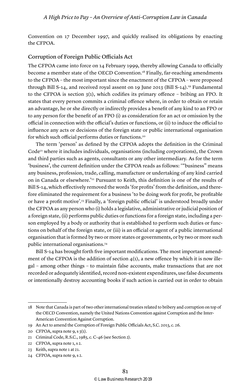Convention on 17 December 1997, and quickly realised its obligations by enacting the CFPOA.

#### Corruption of Foreign Public Officials Act

The CFPOA came into force on 14 February 1999, thereby allowing Canada to officially become a member state of the OECD Convention.18 Finally, far-reaching amendments to the CFPOA – the most important since the enactment of the CFPOA – were proposed through Bill S-14, and received royal assent on 19 June 2013 (Bill S-14).19 Fundamental to the CFPOA is section 3(1), which codifies its primary offence – bribing an FPO. It states that every person commits a criminal offence where, in order to obtain or retain an advantage, he or she directly or indirectly provides a benefit of any kind to an FPO or to any person for the benefit of an FPO (i) as consideration for an act or omission by the official in connection with the official's duties or functions, or (ii) to induce the official to influence any acts or decisions of the foreign state or public international organisation for which such official performs duties or functions.<sup>20</sup>

The term 'person' as defined by the CFPOA adopts the definition in the Criminal  $Code<sup>21</sup>$  where it includes individuals, organisations (including corporations), the Crown and third parties such as agents, consultants or any other intermediary. As for the term 'business', the current definition under the CFPOA reads as follows: '"business" means any business, profession, trade, calling, manufacture or undertaking of any kind carried on in Canada or elsewhere.'22 Pursuant to Keith, this definition is one of the results of Bill S-14, which effectively removed the words 'for profits' from the definition, and therefore eliminated the requirement for a business 'to be doing work for profit, be profitable or have a profit motive'.<sup>23</sup> Finally, a 'foreign public official' is understood broadly under the CFPOA as any person who (i) holds a legislative, administrative or judicial position of a foreign state, (ii) performs public duties or functions for a foreign state, including a person employed by a body or authority that is established to perform such duties or functions on behalf of the foreign state, or (iii) is an official or agent of a public international organisation that is formed by two or more states or governments, or by two or more such public international organisations.<sup>24</sup>

Bill S-14 has brought forth five important modifications. The most important amendment of the CFPOA is the addition of section  $4(1)$ , a new offence by which it is now illegal – among other things – to maintain false accounts, make transactions that are not recorded or adequately identified, record non-existent expenditures, use false documents or intentionally destroy accounting books if such action is carried out in order to obtain

22 CFPOA, supra note 1, s 2.

24 CFPOA, supra note 9, s 2.

<sup>18</sup> Note that Canada is part of two other international treaties related to bribery and corruption on top of the OECD Convention, namely the United Nations Convention against Corruption and the Inter-American Convention Against Corruption.

<sup>19</sup> An Act to amend the Corruption of Foreign Public Officials Act, S.C. 2013, c. 26.

<sup>20</sup> CFPOA, supra note  $9$ , s  $3(1)$ .

<sup>21</sup> Criminal Code, R.S.C., 1985, c. C-46 (see Section 2).

<sup>23</sup> Keith, supra note 1 at 21.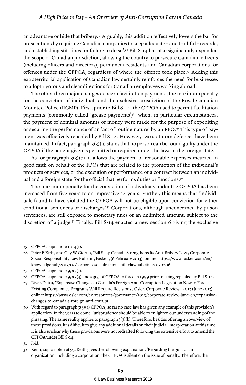an advantage or hide that bribery.<sup>25</sup> Arguably, this addition 'effectively lowers the bar for prosecutions by requiring Canadian companies to keep adequate – and truthful – records, and establishing stiff fines for failure to do so'.<sup>26</sup> Bill S-14 has also significantly expanded the scope of Canadian jurisdiction, allowing the country to prosecute Canadian citizens (including officers and directors), permanent residents and Canadian corporations for offences under the CFPOA, regardless of where the offence took place.<sup>27</sup> Adding this extraterritorial application of Canadian law certainly reinforces the need for businesses to adopt rigorous and clear directions for Canadian employees working abroad.

The other three major changes concern facilitation payments, the maximum penalty for the conviction of individuals and the exclusive jurisdiction of the Royal Canadian Mounted Police (RCMP). First, prior to Bill S-14, the CFPOA used to permit facilitation payments (commonly called 'grease payments')<sup>28</sup> when, in particular circumstances, the payment of nominal amounts of money were made for the purpose of expediting or securing the performance of an 'act of routine nature' by an FPO.29 This type of payment was effectively repealed by Bill S-14. However, two statutory defences have been maintained. In fact, paragraph  $3(3)(a)$  states that no person can be found guilty under the CFPOA if the benefit given is permitted or required under the laws of the foreign state.

As for paragraph  $3(3)(b)$ , it allows the payment of reasonable expenses incurred in good faith on behalf of the FPOs that are related to the promotion of the individual's products or services, or the execution or performance of a contract between an individual and a foreign state for the official that performs duties or functions.<sup>30</sup>

The maximum penalty for the conviction of individuals under the CFPOA has been increased from five years to an impressive 14 years. Further, this means that 'individuals found to have violated the CFPOA will not be eligible upon conviction for either conditional sentences or discharges'.31 Corporations, although unconcerned by prison sentences, are still exposed to monetary fines of an unlimited amount, subject to the discretion of a judge.<sup>32</sup> Finally, Bill S-14 enacted a new section 6 giving the exclusive

<sup>25</sup> CFPOA, supra note  $1, s \neq 1$ .

<sup>26</sup> Peter E Kirby and Guy W Giorno, 'Bill S-14: Canada Strengthens Its Anti-Bribery Law', Corporate Social Responsibility Law Bulletin, Fasken, (6 February 2013), online: https://www.fasken.com/en/ knowledgehub/2013/02/corporatesocialresponsibilitylawbulletin-20130206.

<sup>27</sup> CFPOA, supra note  $9, s \cdot 5(1)$ .

<sup>28</sup> CFPOA, supra note 9, s 3(4) and s 3(5) of CFPOA in force in 1999 prior to being repealed by Bill S-14.

<sup>29</sup> Riyaz Dattu, 'Expansive Changes to Canada's Foreign Anti-Corruption Legislation Now in Force: Existing Compliance Programs Will Require Revisions', Osler, Corporate Review – 2013 (June 2013), online: https://www.osler.com/en/resources/governance/2013/corporate-review-june-en/expansivechanges-to-canada-s-foreign-anti-corrupt.

<sup>30</sup> With regard to paragraph 3(3)(a) CFPOA, so far no case law has given any example of this provision's application. In the years to come, jurisprudence should be able to enlighten our understanding of the phrasing. The same reality applies to paragraph 3(3)(b). Therefore, besides offering an overview of these provisions, it is difficult to give any additional details on their judicial interpretation at this time. It is also unclear why these provisions were not redrafted following the extensive effort to amend the CFPOA under Bill S-14.

<sup>31</sup> ibid.

<sup>32</sup> Keith, supra note 1 at 93. Keith gives the following explanation: 'Regarding the guilt of an organization, including a corporation, the CFPOA is silent on the issue of penalty. Therefore, the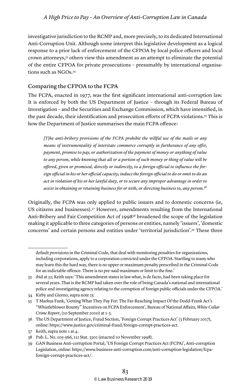investigative jurisdiction to the RCMP and, more precisely, to its dedicated International Anti-Corruption Unit. Although some interpret this legislative development as a logical response to a prior lack of enforcement of the CFPOA by local police officers and local crown attorneys,<sup>33</sup> others view this amendment as an attempt to eliminate the potential of the entire CFPOA for private prosecutions – presumably by international organisations such as NGOs.34

#### Comparing the CFPOA to the FCPA

The FCPA, enacted in 1977, was the first significant international anti-corruption law. It is enforced by both the US Department of Justice – through its Federal Bureau of Investigation – and the Securities and Exchange Commission, which have intensified, in the past decade, their identification and prosecution efforts of FCPA violations.35 This is how the Department of Justice summarises the main FCPA offence:

*[T]he anti-bribery provisions of the FCPA prohibit the willful use of the mails or any means of instrumentality of interstate commerce corruptly in furtherance of any offer, payment, promise to pay, or authorization of the payment of money or anything of value to any person, while knowing that all or a portion of such money or thing of value will be offered, given or promised, directly or indirectly, to a foreign official to influence the foreign official in his or her official capacity, induce the foreign official to do or omit to do an act in violation of his or her lawful duty, or to secure any improper advantage in order to assist in obtaining or retaining business for or with, or directing business to, any person.*<sup>36</sup>

Originally, the FCPA was only applied to public issuers and to domestic concerns (ie, US citizens and businesses).37 However, amendments resulting from the International Anti-Bribery and Fair Competition Act of  $1998^{38}$  broadened the scope of the legislation making it applicable to three categories of persons or entities, namely 'issuers', 'domestic concerns' and certain persons and entities under 'territorial jurisdiction'.39 These three

default provisions in the Criminal Code, that deal with monitoring penalties for organizations, including corporations, apply to a corporation convicted under the CFPOA. Startling to many who may learn this the hard way, there is no upper or maximum penalty prescribed in the Criminal Code for an indictable offence. There is no pre-said maximum or limit to the fine.'

<sup>33</sup> ibid at 32; Keith says: 'This amendment states in law what, is de facto, had been taking place for several years. That is the RCMP had taken over the role of being Canada's national and international police and investigating agency relating to the corruption of foreign public officials under the CFPOA.'

<sup>34</sup> Kirby and Giorno, supra note 25.

<sup>35</sup> T Markus Funk, 'Getting What They Pay For: The Far-Reaching Impact Of the Dodd-Frank Act's "Whistleblower Bounty" Incentives on FCPA Enforcement', Bureau of National Affairs, *White Collar Crime Report*, (10 September 2010) at 1–3.

<sup>36</sup> The US Department of Justice, Fraud Section, 'Foreign Corrupt Practices Act' (3 February 2017), online: https://www.justice.gov/criminal-fraud/foreign-corrupt-practices-act.

<sup>37</sup> Keith, supra note 1 at 4.

<sup>38</sup> Pub. L. No. 105-366, 112 Stat. 3302 (enacted 10 November 1998).

<sup>39</sup> GAN Business Anti-corruption Portal, 'US Foreign Corrupt Practices Act (FCPA)', Anti-corruption Legislation, online: https://www.business-anti-corruption.com/anti-corruption-legislation/fcpaforeign-corrupt-practices-act/.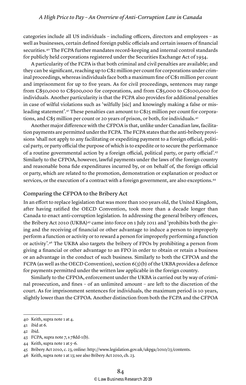categories include all US individuals – including officers, directors and employees – as well as businesses, certain defined foreign public officials and certain issuers of financial securities.40 The FCPA further mandates record-keeping and internal control standards for publicly held corporations registered under the Securities Exchange Act of 1934.

A particularity of the FCPA is that both criminal and civil penalties are available; and they can be significant, reaching up to C\$2 million per count for corporations under criminal proceedings, whereas individuals face both a maximum fine of C\$1 million per count and imprisonment for up to five years. As for civil proceedings, sentences may range from C\$50,000 to C\$500,000 for corporations, and from C\$5,000 to C\$100,000 for individuals. Another particularity is that the FCPA also provides for additional penalties in case of wilful violations such as 'wilfully [sic] and knowingly making a false or misleading statement'.41 These penalties can amount to C\$25 million per count for corporations, and C\$5 million per count or 20 years of prison, or both, for individuals.<sup>42</sup>

Another major difference with the CFPOA is that, unlike under Canadian law, facilitation payments are permitted under the FCPA. The FCPA states that the anti-bribery provisions 'shall not apply to any facilitating or expediting payment to a foreign official, political party, or party official the purpose of which is to expedite or to secure the performance of a routine governmental action by a foreign official, political party, or party official'.43 Similarly to the CFPOA, however, lawful payments under the laws of the foreign country and reasonable bona fide expenditures incurred by, or on behalf of, the foreign official or party, which are related to the promotion, demonstration or explanation or product or services, or the execution of a contract with a foreign government, are also exceptions.44

#### Comparing the CFPOA to the Bribery Act

In an effort to replace legislation that was more than 100 years old, the United Kingdom, after having ratified the OECD Convention, took more than a decade longer than Canada to enact anti-corruption legislation. In addressing the general bribery offences, the Bribery Act 2010 (UKBA)<sup>45</sup> came into force on 1 July 2011 and 'prohibits both the giving and the receiving of financial or other advantage to induce a person to improperly perform a function or activity or to reward a person for improperly performing a function or activity'.46 The UKBA also targets the bribery of FPOs by prohibiting a person from giving a financial or other advantage to an FPO in order to obtain or retain a business or an advantage in the conduct of such business. Similarly to both the CFPOA and the FCPA (as well as the OECD Convention), section  $6(3)(b)$  of the UKBA provides a defence for payments permitted under the written law applicable in the foreign country.

Similarly to the CFPOA, enforcement under the UKBA is carried out by way of criminal prosecution, and fines – of an unlimited amount – are left to the discretion of the court. As for imprisonment sentences for individuals, the maximum period is 10 years, slightly lower than the CFPOA. Another distinction from both the FCPA and the CFPOA

<sup>40</sup> Keith, supra note 1 at 4.

<sup>41</sup> ibid at 6.

<sup>42</sup> ibid.

<sup>43</sup> FCPA, supra note 7, s 78dd-1(b).

<sup>44</sup> Keith, supra note 1 at 5–6.

<sup>45</sup> Bribery Act 2010, c. 23, online: http://www.legislation.gov.uk/ukpga/2010/23/contents.

<sup>46</sup> Keith, supra note 1 at 13; see also Bribery Act 2010, ch. 23.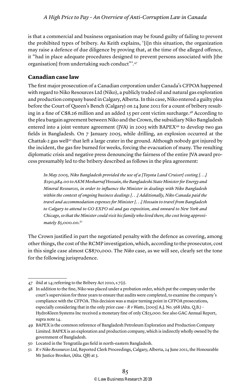is that a commercial and business organisation may be found guilty of failing to prevent the prohibited types of bribery. As Keith explains, '[i]n this situation, the organization may raise a defence of due diligence by proving that, at the time of the alleged offence, it "had in place adequate procedures designed to prevent persons associated with [the organisation] from undertaking such conduct"'.47

#### **Canadian case law**

The first major prosecution of a Canadian corporation under Canada's CFPOA happened with regard to Niko Resources Ltd (Niko), a publicly traded oil and natural gas exploration and production company based in Calgary, Alberta. In this case, Niko entered a guilty plea before the Court of Queen's Bench (Calgary) on 24 June 2011 for a count of bribery resulting in a fine of C\$8.26 million and an added 15 per cent victim surcharge.48 According to the plea bargain agreement between Niko and the Crown, the subsidiary Niko Bangladesh entered into a joint venture agreement (JVA) in 2003 with BAPEX<sup>49</sup> to develop two gas fields in Bangladesh. On 7 January 2005, while drilling, an explosion occurred at the Chattak-2 gas well<sup>50</sup> that left a large crater in the ground. Although nobody got injured by the incident, the gas fire burned for weeks, forcing the evacuation of many. The resulting diplomatic crisis and negative press denouncing the fairness of the entire JVA award process presumably led to the bribery described as follows in the plea agreement:

*In May 2005, Niko Bangladesh provided the use of a [Toyota Land Cruiser] costing [. . .] \$190,984.00 to AKM Mosharraf Hossain, the Bangladeshi State Minister for Energy and Mineral Resources, in order to influence the Minister in dealings with Niko Bangladesh within the context of ongoing business dealings [. . .] Additionally, Niko Canada paid the travel and accommodation expenses for Minister [. . .] Hossain to travel from Bangladesh to Calgary to attend to GO EXPO oil and gas exposition, and onward to New York and Chicago, so that the Minister could visit his family who lived there, the cost being approximately \$5,000.00.*<sup>51</sup>

The Crown justified in part the negotiated penalty with the defence as covering, among other things, the cost of the RCMP investigation, which, according to the prosecutor, cost in this single case almost C\$870,000. The *Niko* case, as we will see, clearly set the tone for the following jurisprudence.

<sup>47</sup> ibid at 14; referring to the Bribery Act 2010, s 7(2).

<sup>48</sup> In addition to the fine, Niko was placed under a probation order, which put the company under the court's supervision for three years to ensure that audits were completed, to examine the company's compliance with the CFPOA. This decision was a major turning point in CFPOA prosecutions, especially considering that in the only prior case – *R v Watts*, [2005] A.J. No. 568 (Alta. Q.B.) – HydroKleen Systems Inc received a monetary fine of only C\$25,000. See also GAC Annual Report, supra note 14.

<sup>49</sup> BAPEX is the common reference of Bangladesh Petroleum Exploration and Production Company Limited. BAPEX is an exploration and production company, which is indirectly wholly owned by the government of Bangladesh.

<sup>50</sup> Located in the Tengratila gas field in north-eastern Bangladesh.

<sup>51</sup> *R v Niko Ressources Ltd*, Reported Clerk Proceedings, Calgary, Alberta, 24 June 2011, the Honourable Mr Justice Brooker, (Alta. QB) at 3.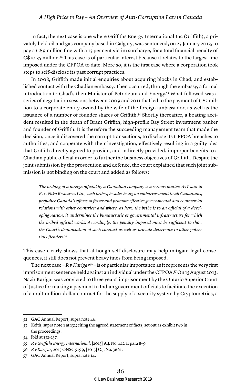#### *A High Price to Pay – An Overview of Anti-Corruption Law in Canada*

In fact, the next case is one where Griffiths Energy International Inc (Griffith), a privately held oil and gas company based in Calgary, was sentenced, on 25 January 2013, to pay a C\$9 million fine with a 15 per cent victim surcharge, for a total financial penalty of  $C$10.35}$  million.<sup>52</sup> This case is of particular interest because it relates to the largest fine imposed under the CFPOA to date. More so, it is the first case where a corporation took steps to self-disclose its past corrupt practices.

In 2008, Griffith made initial enquiries about acquiring blocks in Chad, and established contact with the Chadian embassy. Then occurred, through the embassy, a formal introduction to Chad's then Minister of Petroleum and Energy.53 What followed was a series of negotiation sessions between 2009 and 2011 that led to the payment of C\$2 million to a corporate entity owned by the wife of the foreign ambassador, as well as the issuance of a number of founder shares of Griffith.54 Shortly thereafter, a boating accident resulted in the death of Brant Griffith, high-profile Bay Street investment banker and founder of Griffith. It is therefore the succeeding management team that made the decision, once it discovered the corrupt transactions, to disclose its CFPOA breaches to authorities, and cooperate with their investigation, effectively resulting in a guilty plea that Griffith directly agreed to provide, and indirectly provided, improper benefits to a Chadian public official in order to further the business objectives of Griffith. Despite the joint submission by the prosecution and defence, the court explained that such joint submission is not binding on the court and added as follows:

*The bribing of a foreign official by a Canadian company is a serious matter. As I said in R. v. Niko Resources Ltd., such bribes, besides being an embarrassment to all Canadians, prejudice Canada's efforts to foster and promote effective governmental and commercial relations with other countries; and where, as here, the bribe is to an official of a developing nation, it undermines the bureaucratic or governmental infrastructure for which the bribed official works. Accordingly, the penalty imposed must be sufficient to show the Court's denunciation of such conduct as well as provide deterrence to other potential offenders.*<sup>55</sup>

This case clearly shows that although self-disclosure may help mitigate legal consequences, it still does not prevent heavy fines from being imposed.

The next case –  $R v$  *Karigar*<sup>56</sup> – is of particular importance as it represents the very first imprisonment sentence held against an individual under the CFPOA.57 On 15 August 2013, Nazir Karigar was convicted to three years' imprisonment by the Ontario Superior Court of Justice for making a payment to Indian government officials to facilitate the execution of a multimillion-dollar contract for the supply of a security system by Cryptometrics, a

<sup>52</sup> GAC Annual Report, supra note 46.

<sup>53</sup> Keith, supra note 1 at 131; citing the agreed statement of facts, set out as exhibit two in the proceedings.

<sup>54</sup> ibid at 132–137.

<sup>55</sup> *R v Griffiths Energy International*, [2013] A.J. No. 412 at para 8–9.

<sup>56</sup> *R v Karigar*, 2013 ONSC 5199, [2013] O.J. No. 3661.

<sup>57</sup> GAC Annual Report, supra note 14.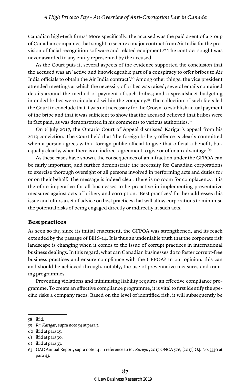Canadian high-tech firm.58 More specifically, the accused was the paid agent of a group of Canadian companies that sought to secure a major contract from Air India for the provision of facial recognition software and related equipment.59 The contract sought was never awarded to any entity represented by the accused.

As the Court puts it, several aspects of the evidence supported the conclusion that the accused was an 'active and knowledgeable part of a conspiracy to offer bribes to Air India officials to obtain the Air India contract'.60 Among other things, the vice president attended meetings at which the necessity of bribes was raised; several emails contained details around the method of payment of such bribes; and a spreadsheet budgeting intended bribes were circulated within the company.61 The collection of such facts led the Court to conclude that it was not necessary for the Crown to establish actual payment of the bribe and that it was sufficient to show that the accused believed that bribes were in fact paid, as was demonstrated in his comments to various authorities.<sup>62</sup>

On 6 July 2017, the Ontario Court of Appeal dismissed Karigar's appeal from his 2013 conviction. The Court held that 'the foreign bribery offence is clearly committed when a person agrees with a foreign public official to give that official a benefit, but, equally clearly, when there is an indirect agreement to give or offer an advantage.<sup>163</sup>

As these cases have shown, the consequences of an infraction under the CFPOA can be fairly important, and further demonstrate the necessity for Canadian corporations to exercise thorough oversight of all persons involved in performing acts and duties for or on their behalf. The message is indeed clear: there is no room for complacency. It is therefore imperative for all businesses to be proactive in implementing preventative measures against acts of bribery and corruption. 'Best practices' further addresses this issue and offers a set of advice on best practices that will allow corporations to minimise the potential risks of being engaged directly or indirectly in such acts.

#### **Best practices**

As seen so far, since its initial enactment, the CFPOA was strengthened, and its reach extended by the passage of Bill S-14. It is thus an undeniable truth that the corporate risk landscape is changing when it comes to the issue of corrupt practices in international business dealings.In this regard, what can Canadian businesses do to foster corrupt-free business practices and ensure compliance with the CFPOA? In our opinion, this can and should be achieved through, notably, the use of preventative measures and training programmes.

Preventing violations and minimising liability requires an effective compliance programme. To create an effective compliance programme, it is vital to first identify the specific risks a company faces. Based on the level of identified risk, it will subsequently be

<sup>58</sup> ibid.

<sup>59</sup> *R v Karigar*, supra note 54 at para 3.

<sup>60</sup> ibid at para 15.

<sup>61</sup> ibid at para 30.

<sup>62</sup> ibid at para 33.

<sup>63</sup> GAC Annual Report, supra note 14; in reference to *R v Karigar*, 2017 ONCA 576, [2017] O.J. No. 3530 at para 43.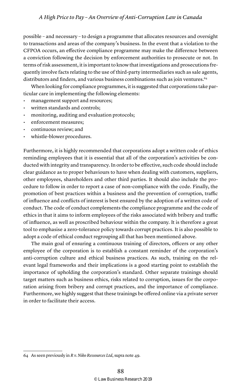possible – and necessary – to design a programme that allocates resources and oversight to transactions and areas of the company's business. In the event that a violation to the CFPOA occurs, an effective compliance programme may make the difference between a conviction following the decision by enforcement authorities to prosecute or not. In terms of risk assessment, it is important to know that investigations and prosecutions frequently involve facts relating to the use of third-party intermediaries such as sale agents, distributors and finders, and various business combinations such as join ventures.64

When looking for compliance programmes, it is suggested that corporations take particular care in implementing the following elements:

- management support and resources;
- written standards and controls;
- monitoring, auditing and evaluation protocols;
- enforcement measures;
- continuous review; and
- whistle-blower procedures.

Furthermore, it is highly recommended that corporations adopt a written code of ethics reminding employees that it is essential that all of the corporation's activities be conducted with integrity and transparency. In order to be effective, such code should include clear guidance as to proper behaviours to have when dealing with customers, suppliers, other employees, shareholders and other third parties. It should also include the procedure to follow in order to report a case of non-compliance with the code. Finally, the promotion of best practices within a business and the prevention of corruption, traffic of influence and conflicts of interest is best ensured by the adoption of a written code of conduct. The code of conduct complements the compliance programme and the code of ethics in that it aims to inform employees of the risks associated with bribery and traffic of influence, as well as proscribed behaviour within the company. It is therefore a great tool to emphasise a zero-tolerance policy towards corrupt practices. It is also possible to adopt a code of ethical conduct regrouping all that has been mentioned above.

The main goal of ensuring a continuous training of directors, officers or any other employee of the corporation is to establish a constant reminder of the corporation's anti-corruption culture and ethical business practices. As such, training on the relevant legal frameworks and their implications is a good starting point to establish the importance of upholding the corporation's standard. Other separate trainings should target matters such as business ethics, risks related to corruption, issues for the corporation arising from bribery and corrupt practices, and the importance of compliance. Furthermore, we highly suggest that these trainings be offered online via a private server in order to facilitate their access.

<sup>64</sup> As seen previously in *R v. Niko Ressources Ltd*, supra note 49.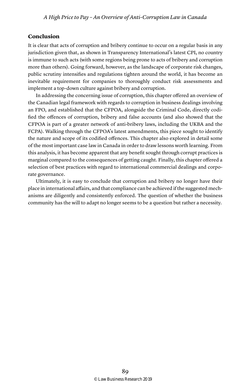#### **Conclusion**

It is clear that acts of corruption and bribery continue to occur on a regular basis in any jurisdiction given that, as shown in Transparency International's latest CPI, no country is immune to such acts (with some regions being prone to acts of bribery and corruption more than others). Going forward, however, as the landscape of corporate risk changes, public scrutiny intensifies and regulations tighten around the world, it has become an inevitable requirement for companies to thoroughly conduct risk assessments and implement a top-down culture against bribery and corruption.

In addressing the concerning issue of corruption, this chapter offered an overview of the Canadian legal framework with regards to corruption in business dealings involving an FPO, and established that the CFPOA, alongside the Criminal Code, directly codified the offences of corruption, bribery and false accounts (and also showed that the CFPOA is part of a greater network of anti-bribery laws, including the UKBA and the FCPA). Walking through the CFPOA's latest amendments, this piece sought to identify the nature and scope of its codified offences. This chapter also explored in detail some of the most important case law in Canada in order to draw lessons worth learning. From this analysis, it has become apparent that any benefit sought through corrupt practices is marginal compared to the consequences of getting caught. Finally, this chapter offered a selection of best practices with regard to international commercial dealings and corporate governance.

Ultimately, it is easy to conclude that corruption and bribery no longer have their place in international affairs, and that compliance can be achieved if the suggested mechanisms are diligently and consistently enforced. The question of whether the business community has the will to adapt no longer seems to be a question but rather a necessity.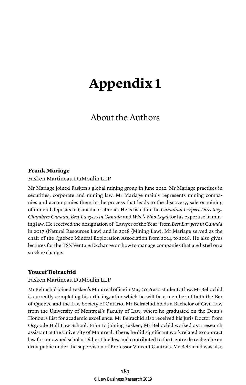## **Appendix 1**

#### About the Authors

#### Frank Mariage

Fasken Martineau DuMoulin LLP

Mr Mariage joined Fasken's global mining group in June 2012. Mr Mariage practises in securities, corporate and mining law. Mr Mariage mainly represents mining companies and accompanies them in the process that leads to the discovery, sale or mining of mineral deposits in Canada or abroad. He is listed in the *Canadian Lexpert Directory*, *Chambers Canada*, *Best Lawyers in Canada* and *Who's Who Legal* for his expertise in mining law. He received the designation of 'Lawyer of the Year' from *Best Lawyers in Canada*  in 2017 (Natural Resources Law) and in 2018 (Mining Law). Mr Mariage served as the chair of the Quebec Mineral Exploration Association from 2014 to 2018. He also gives lectures for the TSX Venture Exchange on how to manage companies that are listed on a stock exchange.

#### Youcef Belrachid

#### Fasken Martineau DuMoulin LLP

Mr Belrachid joined Fasken's Montreal office in May 2016 as a student at law. Mr Belrachid is currently completing his articling, after which he will be a member of both the Bar of Quebec and the Law Society of Ontario. Mr Belrachid holds a Bachelor of Civil Law from the University of Montreal's Faculty of Law, where he graduated on the Dean's Honours List for academic excellence. Mr Belrachid also received his Juris Doctor from Osgoode Hall Law School. Prior to joining Fasken, Mr Belrachid worked as a research assistant at the University of Montreal. There, he did significant work related to contract law for renowned scholar Didier Lluelles, and contributed to the Centre de recherche en droit public under the supervision of Professor Vincent Gautrais. Mr Belrachid was also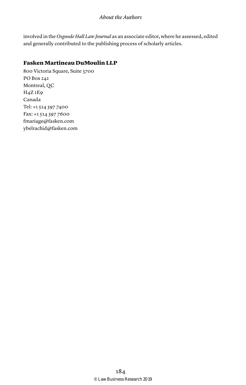#### *About the Authors*

involved in the *Osgoode Hall Law Journal* as an associate editor, where he assessed, edited and generally contributed to the publishing process of scholarly articles.

#### Fasken Martineau DuMoulin LLP

800 Victoria Square, Suite 3700 PO Box 242 Montreal, QC H4Z 1E9 Canada Tel: +1 514 397 7400 Fax: +1 514 397 7600 fmariage@fasken.com ybelrachid@fasken.com